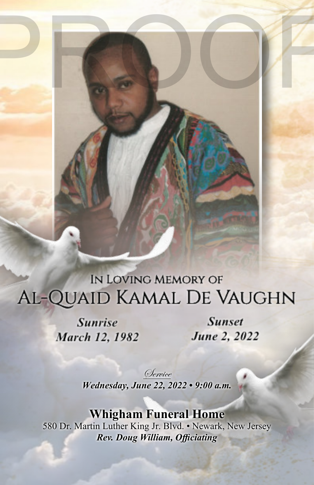## IN LOVING MEMORY OF AL-QUAID KAMAL DE VAUGHN

PROOF

**Sunrise** March 12, 1982

**Sunset** June 2, 2022

Service *Wednesday, June 22, 2022 • 9:00 a.m.*

**Whigham Funeral Home** 580 Dr. Martin Luther King Jr. Blvd. • Newark, New Jersey *Rev. Doug William, Officiating*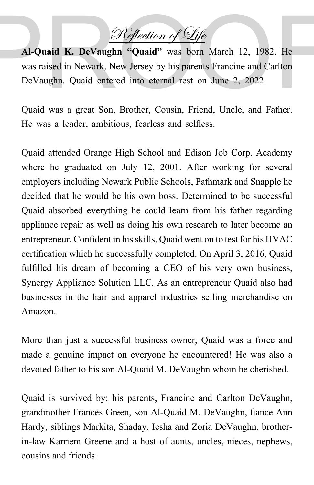**Al-Quaid K. DeVaughn "Quaid"** was born March 12, 1982. He was raised in Newark, New Jersey by his parents Francine and Carlton DeVaughn. Quaid entered into eternal rest on June 2, 2022. *Reflection of Life*<br>Al-Quaid K. DeVaughn "Quaid" was born March 12, 1982. He<br>was raised in Newark, New Jersey by his parents Francine and Carlton<br>DeVaughn. Quaid entered into eternal rest on June 2, 2022.

Quaid was a great Son, Brother, Cousin, Friend, Uncle, and Father. He was a leader, ambitious, fearless and selfless.

Quaid attended Orange High School and Edison Job Corp. Academy where he graduated on July 12, 2001. After working for several employers including Newark Public Schools, Pathmark and Snapple he decided that he would be his own boss. Determined to be successful Quaid absorbed everything he could learn from his father regarding appliance repair as well as doing his own research to later become an entrepreneur. Confident in his skills, Quaid went on to test for his HVAC certification which he successfully completed. On April 3, 2016, Quaid fulfilled his dream of becoming a CEO of his very own business, Synergy Appliance Solution LLC. As an entrepreneur Quaid also had businesses in the hair and apparel industries selling merchandise on Amazon.

More than just a successful business owner, Quaid was a force and made a genuine impact on everyone he encountered! He was also a devoted father to his son Al-Quaid M. DeVaughn whom he cherished.

Quaid is survived by: his parents, Francine and Carlton DeVaughn, grandmother Frances Green, son Al-Quaid M. DeVaughn, fiance Ann Hardy, siblings Markita, Shaday, Iesha and Zoria DeVaughn, brotherin-law Karriem Greene and a host of aunts, uncles, nieces, nephews, cousins and friends.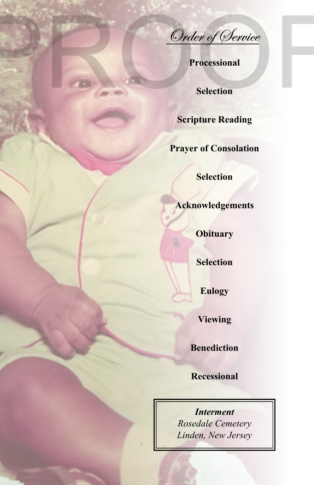Order of Service Order of Service<br>Processional<br>Selection

**Processional**

**Selection**

**Scripture Reading**

**Prayer of Consolation**

**Selection**

**Acknowledgements**

**Obituary**

**Selection**

**Eulogy**

**Viewing**

**Benediction**

**Recessional**

*Interment Rosedale Cemetery Linden, New Jersey*